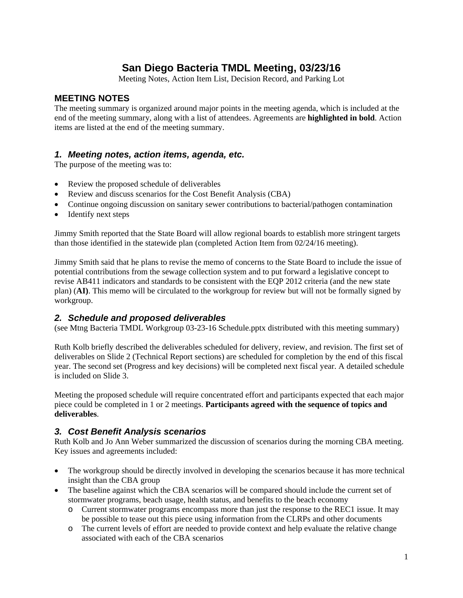### **San Diego Bacteria TMDL Meeting, 03/23/16**

Meeting Notes, Action Item List, Decision Record, and Parking Lot

#### **MEETING NOTES**

The meeting summary is organized around major points in the meeting agenda, which is included at the end of the meeting summary, along with a list of attendees. Agreements are **highlighted in bold**. Action items are listed at the end of the meeting summary.

#### *1. Meeting notes, action items, agenda, etc.*

The purpose of the meeting was to:

- Review the proposed schedule of deliverables
- Review and discuss scenarios for the Cost Benefit Analysis (CBA)
- Continue ongoing discussion on sanitary sewer contributions to bacterial/pathogen contamination
- Identify next steps

Jimmy Smith reported that the State Board will allow regional boards to establish more stringent targets than those identified in the statewide plan (completed Action Item from 02/24/16 meeting).

Jimmy Smith said that he plans to revise the memo of concerns to the State Board to include the issue of potential contributions from the sewage collection system and to put forward a legislative concept to revise AB411 indicators and standards to be consistent with the EQP 2012 criteria (and the new state plan) (**AI)**. This memo will be circulated to the workgroup for review but will not be formally signed by workgroup.

#### *2. Schedule and proposed deliverables*

(see Mtng Bacteria TMDL Workgroup 03-23-16 Schedule.pptx distributed with this meeting summary)

Ruth Kolb briefly described the deliverables scheduled for delivery, review, and revision. The first set of deliverables on Slide 2 (Technical Report sections) are scheduled for completion by the end of this fiscal year. The second set (Progress and key decisions) will be completed next fiscal year. A detailed schedule is included on Slide 3.

Meeting the proposed schedule will require concentrated effort and participants expected that each major piece could be completed in 1 or 2 meetings. **Participants agreed with the sequence of topics and deliverables**.

### *3. Cost Benefit Analysis scenarios*

Ruth Kolb and Jo Ann Weber summarized the discussion of scenarios during the morning CBA meeting. Key issues and agreements included:

- The workgroup should be directly involved in developing the scenarios because it has more technical insight than the CBA group
- The baseline against which the CBA scenarios will be compared should include the current set of stormwater programs, beach usage, health status, and benefits to the beach economy
	- o Current stormwater programs encompass more than just the response to the REC1 issue. It may be possible to tease out this piece using information from the CLRPs and other documents
	- o The current levels of effort are needed to provide context and help evaluate the relative change associated with each of the CBA scenarios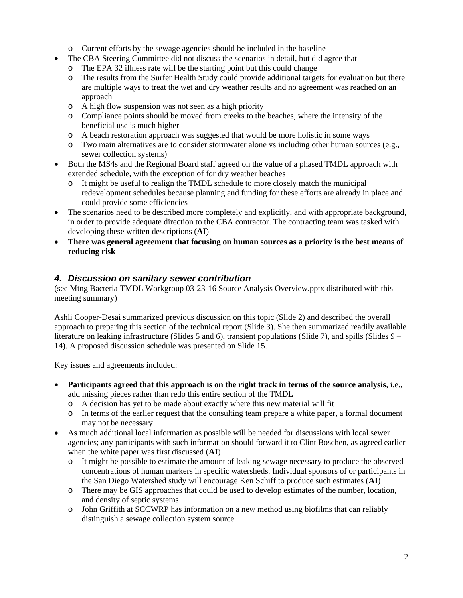- o Current efforts by the sewage agencies should be included in the baseline
- The CBA Steering Committee did not discuss the scenarios in detail, but did agree that
- o The EPA 32 illness rate will be the starting point but this could change
- o The results from the Surfer Health Study could provide additional targets for evaluation but there are multiple ways to treat the wet and dry weather results and no agreement was reached on an approach
- o A high flow suspension was not seen as a high priority
- o Compliance points should be moved from creeks to the beaches, where the intensity of the beneficial use is much higher
- o A beach restoration approach was suggested that would be more holistic in some ways
- o Two main alternatives are to consider stormwater alone vs including other human sources (e.g., sewer collection systems)
- Both the MS4s and the Regional Board staff agreed on the value of a phased TMDL approach with extended schedule, with the exception of for dry weather beaches
	- o It might be useful to realign the TMDL schedule to more closely match the municipal redevelopment schedules because planning and funding for these efforts are already in place and could provide some efficiencies
- The scenarios need to be described more completely and explicitly, and with appropriate background, in order to provide adequate direction to the CBA contractor. The contracting team was tasked with developing these written descriptions (**AI**)
- **There was general agreement that focusing on human sources as a priority is the best means of reducing risk**

### *4. Discussion on sanitary sewer contribution*

(see Mtng Bacteria TMDL Workgroup 03-23-16 Source Analysis Overview.pptx distributed with this meeting summary)

Ashli Cooper-Desai summarized previous discussion on this topic (Slide 2) and described the overall approach to preparing this section of the technical report (Slide 3). She then summarized readily available literature on leaking infrastructure (Slides 5 and 6), transient populations (Slide 7), and spills (Slides 9 – 14). A proposed discussion schedule was presented on Slide 15.

Key issues and agreements included:

- **Participants agreed that this approach is on the right track in terms of the source analysis**, i.e., add missing pieces rather than redo this entire section of the TMDL
	- o A decision has yet to be made about exactly where this new material will fit
	- o In terms of the earlier request that the consulting team prepare a white paper, a formal document may not be necessary
- As much additional local information as possible will be needed for discussions with local sewer agencies; any participants with such information should forward it to Clint Boschen, as agreed earlier when the white paper was first discussed (**AI**)
	- o It might be possible to estimate the amount of leaking sewage necessary to produce the observed concentrations of human markers in specific watersheds. Individual sponsors of or participants in the San Diego Watershed study will encourage Ken Schiff to produce such estimates (**AI**)
	- o There may be GIS approaches that could be used to develop estimates of the number, location, and density of septic systems
	- o John Griffith at SCCWRP has information on a new method using biofilms that can reliably distinguish a sewage collection system source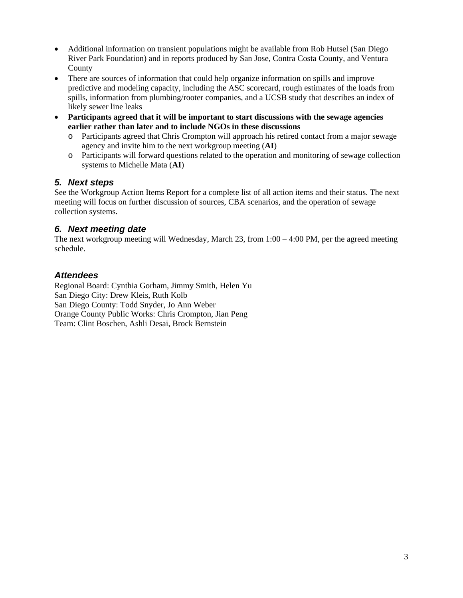- Additional information on transient populations might be available from Rob Hutsel (San Diego River Park Foundation) and in reports produced by San Jose, Contra Costa County, and Ventura County
- There are sources of information that could help organize information on spills and improve predictive and modeling capacity, including the ASC scorecard, rough estimates of the loads from spills, information from plumbing/rooter companies, and a UCSB study that describes an index of likely sewer line leaks
- **Participants agreed that it will be important to start discussions with the sewage agencies earlier rather than later and to include NGOs in these discussions**
	- o Participants agreed that Chris Crompton will approach his retired contact from a major sewage agency and invite him to the next workgroup meeting (**AI**)
	- o Participants will forward questions related to the operation and monitoring of sewage collection systems to Michelle Mata (**AI**)

### *5. Next steps*

See the Workgroup Action Items Report for a complete list of all action items and their status. The next meeting will focus on further discussion of sources, CBA scenarios, and the operation of sewage collection systems.

#### *6. Next meeting date*

The next workgroup meeting will Wednesday, March 23, from  $1:00 - 4:00$  PM, per the agreed meeting schedule.

### *Attendees*

Regional Board: Cynthia Gorham, Jimmy Smith, Helen Yu San Diego City: Drew Kleis, Ruth Kolb San Diego County: Todd Snyder, Jo Ann Weber Orange County Public Works: Chris Crompton, Jian Peng Team: Clint Boschen, Ashli Desai, Brock Bernstein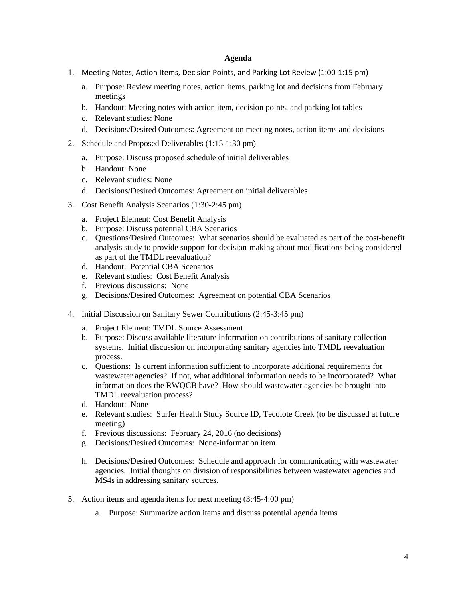#### **Agenda**

- 1. Meeting Notes, Action Items, Decision Points, and Parking Lot Review (1:00‐1:15 pm)
	- a. Purpose: Review meeting notes, action items, parking lot and decisions from February meetings
	- b. Handout: Meeting notes with action item, decision points, and parking lot tables
	- c. Relevant studies: None
	- d. Decisions/Desired Outcomes: Agreement on meeting notes, action items and decisions
- 2. Schedule and Proposed Deliverables (1:15-1:30 pm)
	- a. Purpose: Discuss proposed schedule of initial deliverables
	- b. Handout: None
	- c. Relevant studies: None
	- d. Decisions/Desired Outcomes: Agreement on initial deliverables
- 3. Cost Benefit Analysis Scenarios (1:30-2:45 pm)
	- a. Project Element: Cost Benefit Analysis
	- b. Purpose: Discuss potential CBA Scenarios
	- c. Questions/Desired Outcomes: What scenarios should be evaluated as part of the cost-benefit analysis study to provide support for decision-making about modifications being considered as part of the TMDL reevaluation?
	- d. Handout: Potential CBA Scenarios
	- e. Relevant studies: Cost Benefit Analysis
	- f. Previous discussions: None
	- g. Decisions/Desired Outcomes: Agreement on potential CBA Scenarios
- 4. Initial Discussion on Sanitary Sewer Contributions (2:45-3:45 pm)
	- a. Project Element: TMDL Source Assessment
	- b. Purpose: Discuss available literature information on contributions of sanitary collection systems. Initial discussion on incorporating sanitary agencies into TMDL reevaluation process.
	- c. Questions: Is current information sufficient to incorporate additional requirements for wastewater agencies? If not, what additional information needs to be incorporated? What information does the RWQCB have? How should wastewater agencies be brought into TMDL reevaluation process?
	- d. Handout: None
	- e. Relevant studies: Surfer Health Study Source ID, Tecolote Creek (to be discussed at future meeting)
	- f. Previous discussions: February 24, 2016 (no decisions)
	- g. Decisions/Desired Outcomes: None-information item
	- h. Decisions/Desired Outcomes: Schedule and approach for communicating with wastewater agencies. Initial thoughts on division of responsibilities between wastewater agencies and MS4s in addressing sanitary sources.
- 5. Action items and agenda items for next meeting (3:45-4:00 pm)
	- a. Purpose: Summarize action items and discuss potential agenda items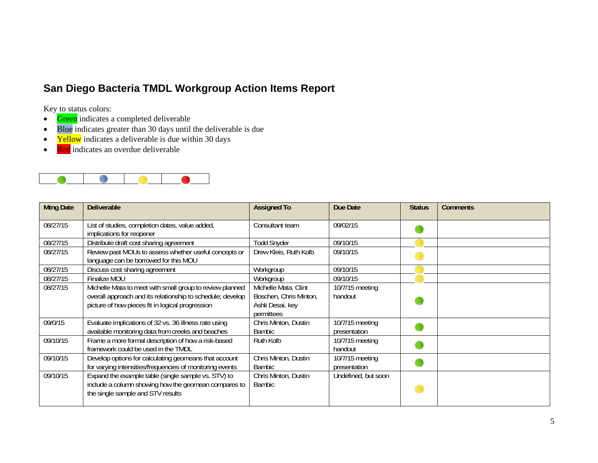## **San Diego Bacteria TMDL Workgroup Action Items Report**

Key to status colors:

- $\bullet$ Green indicates a completed deliverable
- $\bullet$ Blue indicates greater than 30 days until the deliverable is due
- $\bullet$ Yellow indicates a deliverable is due within 30 days
- $\bullet$ Red indicates an overdue deliverable



| <b>Mtng Date</b> | <b>Deliverable</b>                                                                                                                                                         | <b>Assigned To</b>                                                               | Due Date                        | <b>Status</b> | <b>Comments</b> |
|------------------|----------------------------------------------------------------------------------------------------------------------------------------------------------------------------|----------------------------------------------------------------------------------|---------------------------------|---------------|-----------------|
| 08/27/15         | List of studies, completion dates, value added,<br>implications for reopener                                                                                               | Consultant team                                                                  | 09/02/15                        |               |                 |
| 08/27/15         | Distribute draft cost sharing agreement                                                                                                                                    | <b>Todd Snyder</b>                                                               | 09/10/15                        |               |                 |
| 08/27/15         | Review past MOUs to assess whether useful concepts or<br>language can be borrowed for this MOU                                                                             | Drew Kleis, Ruth Kolb                                                            | 09/10/15                        |               |                 |
| 08/27/15         | Discuss cost sharing agreement                                                                                                                                             | Workgroup                                                                        | 09/10/15                        |               |                 |
| 08/27/15         | Finalize MOU                                                                                                                                                               | Workgroup                                                                        | 09/10/15                        |               |                 |
| 08/27/15         | Michelle Mata to meet with small group to review planned<br>overall approach and its relationship to schedule; develop<br>picture of how pieces fit in logical progression | Michelle Mata, Clint<br>Boschen, Chris Minton,<br>Ashli Desai, key<br>permittees | 10/7/15 meeting<br>handout      |               |                 |
| 09/0/15          | Evaluate implications of 32 vs. 36 illness rate using<br>available monitoring data from creeks and beaches                                                                 | Chris Minton, Dustin<br><b>Bambic</b>                                            | 10/7/15 meeting<br>presentation |               |                 |
| 09/10/15         | Frame a more formal description of how a risk-based<br>framework could be used in the TMDL                                                                                 | Ruth Kolb                                                                        | 10/7/15 meeting<br>handout      |               |                 |
| 09/10/15         | Develop options for calculating geomeans that account<br>for varying intensities/frequencies of monitoring events                                                          | Chris Minton, Dustin<br><b>Bambic</b>                                            | 10/7/15 meeting<br>presentation |               |                 |
| 09/10/15         | Expand the example table (single sample vs. STV) to<br>include a column showing how the geomean compares to<br>the single sample and STV results                           | Chris Minton, Dustin<br><b>Bambic</b>                                            | Undefined, but soon             |               |                 |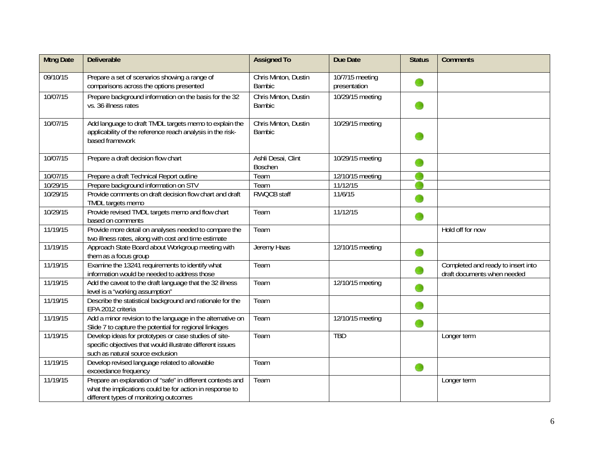| <b>Mtng Date</b> | <b>Deliverable</b>                                                                                                                                               | <b>Assigned To</b>                    | Due Date                        | <b>Status</b> | <b>Comments</b>                                                   |
|------------------|------------------------------------------------------------------------------------------------------------------------------------------------------------------|---------------------------------------|---------------------------------|---------------|-------------------------------------------------------------------|
| 09/10/15         | Prepare a set of scenarios showing a range of<br>comparisons across the options presented                                                                        | Chris Minton, Dustin<br>Bambic        | 10/7/15 meeting<br>presentation |               |                                                                   |
| 10/07/15         | Prepare background information on the basis for the 32<br>vs. 36 illness rates                                                                                   | Chris Minton, Dustin<br><b>Bambic</b> | 10/29/15 meeting                |               |                                                                   |
| 10/07/15         | Add language to draft TMDL targets memo to explain the<br>applicability of the reference reach analysis in the risk-<br>based framework                          | Chris Minton, Dustin<br><b>Bambic</b> | 10/29/15 meeting                |               |                                                                   |
| 10/07/15         | Prepare a draft decision flow chart                                                                                                                              | Ashli Desai, Clint<br>Boschen         | 10/29/15 meeting                |               |                                                                   |
| 10/07/15         | Prepare a draft Technical Report outline                                                                                                                         | Team                                  | 12/10/15 meeting                |               |                                                                   |
| 10/29/15         | Prepare background information on STV                                                                                                                            | Team                                  | 11/12/15                        |               |                                                                   |
| 10/29/15         | Provide comments on draft decision flow chart and draft<br>TMDL targets memo                                                                                     | <b>RWQCB staff</b>                    | 11/6/15                         |               |                                                                   |
| 10/29/15         | Provide revised TMDL targets memo and flow chart<br>based on comments                                                                                            | Team                                  | 11/12/15                        |               |                                                                   |
| 11/19/15         | Provide more detail on analyses needed to compare the<br>two illness rates, along with cost and time estimate                                                    | Team                                  |                                 |               | Hold off for now                                                  |
| 11/19/15         | Approach State Board about Workgroup meeting with<br>them as a focus group                                                                                       | Jeremy Haas                           | 12/10/15 meeting                |               |                                                                   |
| 11/19/15         | Examine the 13241 requirements to identify what<br>information would be needed to address those                                                                  | Team                                  |                                 |               | Completed and ready to insert into<br>draft documents when needed |
| 11/19/15         | Add the caveat to the draft language that the 32 illness<br>level is a "working assumption"                                                                      | Team                                  | 12/10/15 meeting                |               |                                                                   |
| 11/19/15         | Describe the statistical background and rationale for the<br>EPA 2012 criteria                                                                                   | Team                                  |                                 |               |                                                                   |
| 11/19/15         | Add a minor revision to the language in the alternative on<br>Slide 7 to capture the potential for regional linkages                                             | Team                                  | 12/10/15 meeting                | œ             |                                                                   |
| 11/19/15         | Develop ideas for prototypes or case studies of site-<br>specific objectives that would illustrate different issues<br>such as natural source exclusion          | Team                                  | <b>TBD</b>                      |               | Longer term                                                       |
| 11/19/15         | Develop revised language related to allowable<br>exceedance frequency                                                                                            | Team                                  |                                 | O             |                                                                   |
| 11/19/15         | Prepare an explanation of "safe" in different contexts and<br>what the implications could be for action in response to<br>different types of monitoring outcomes | Team                                  |                                 |               | Longer term                                                       |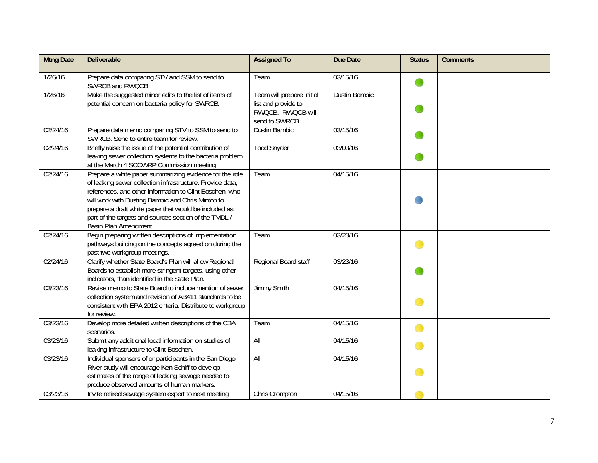| <b>Mtng Date</b> | <b>Deliverable</b>                                                                                                                                                                                                                                                                                                                                                             | <b>Assigned To</b>                                                                      | Due Date             | <b>Status</b> | <b>Comments</b> |
|------------------|--------------------------------------------------------------------------------------------------------------------------------------------------------------------------------------------------------------------------------------------------------------------------------------------------------------------------------------------------------------------------------|-----------------------------------------------------------------------------------------|----------------------|---------------|-----------------|
| 1/26/16          | Prepare data comparing STV and SSM to send to<br>SWRCB and RWQCB                                                                                                                                                                                                                                                                                                               | Team                                                                                    | 03/15/16             | œ             |                 |
| 1/26/16          | Make the suggested minor edits to the list of items of<br>potential concern on bacteria policy for SWRCB.                                                                                                                                                                                                                                                                      | Team will prepare initial<br>list and provide to<br>RWQCB. RWQCB will<br>send to SWRCB. | <b>Dustin Bambic</b> |               |                 |
| 02/24/16         | Prepare data memo comparing STV to SSM to send to<br>SWRCB. Send to entire team for review.                                                                                                                                                                                                                                                                                    | <b>Dustin Bambic</b>                                                                    | 03/15/16             |               |                 |
| 02/24/16         | Briefly raise the issue of the potential contribution of<br>leaking sewer collection systems to the bacteria problem<br>at the March 4 SCCWRP Commission meeting                                                                                                                                                                                                               | <b>Todd Snyder</b>                                                                      | 03/03/16             |               |                 |
| 02/24/16         | Prepare a white paper summarizing evidence for the role<br>of leaking sewer collection infrastructure. Provide data,<br>references, and other information to Clint Boschen, who<br>will work with Dusting Bambic and Chris Minton to<br>prepare a draft white paper that would be included as<br>part of the targets and sources section of the TMDL /<br>Basin Plan Amendment | Team                                                                                    | 04/15/16             |               |                 |
| 02/24/16         | Begin preparing written descriptions of implementation<br>pathways building on the concepts agreed on during the<br>past two workgroup meetings.                                                                                                                                                                                                                               | Team                                                                                    | 03/23/16             |               |                 |
| 02/24/16         | Clarify whether State Board's Plan will allow Regional<br>Boards to establish more stringent targets, using other<br>indicators, than identified in the State Plan.                                                                                                                                                                                                            | Regional Board staff                                                                    | 03/23/16             |               |                 |
| 03/23/16         | Revise memo to State Board to include mention of sewer<br>collection system and revision of AB411 standards to be<br>consistent with EPA 2012 criteria. Distribute to workgroup<br>for review.                                                                                                                                                                                 | <b>Jimmy Smith</b>                                                                      | 04/15/16             |               |                 |
| 03/23/16         | Develop more detailed written descriptions of the CBA<br>scenarios.                                                                                                                                                                                                                                                                                                            | Team                                                                                    | 04/15/16             |               |                 |
| 03/23/16         | Submit any additional local information on studies of<br>leaking infrastructure to Clint Boschen.                                                                                                                                                                                                                                                                              | All                                                                                     | 04/15/16             | œ             |                 |
| 03/23/16         | Individual sponsors of or participants in the San Diego<br>River study will encourage Ken Schiff to develop<br>estimates of the range of leaking sewage needed to<br>produce observed amounts of human markers.                                                                                                                                                                | All                                                                                     | 04/15/16             |               |                 |
| 03/23/16         | Invite retired sewage system expert to next meeting                                                                                                                                                                                                                                                                                                                            | Chris Crompton                                                                          | 04/15/16             |               |                 |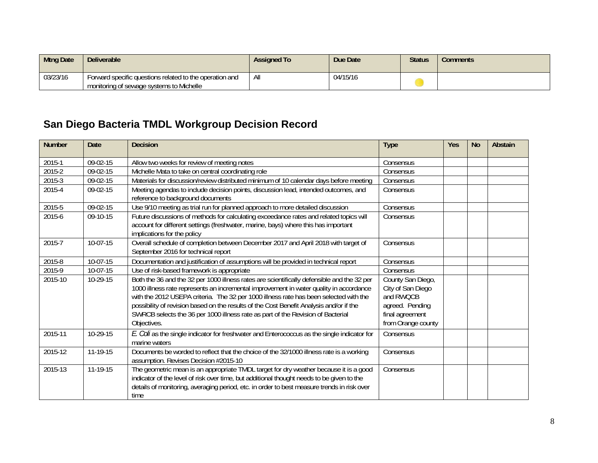| <b>Mtng Date</b> | <b>Deliverable</b>                                                                                  | <b>Assigned To</b> | Due Date | <b>Status</b> | Comments |
|------------------|-----------------------------------------------------------------------------------------------------|--------------------|----------|---------------|----------|
| 03/23/16         | Forward specific questions related to the operation and<br>monitoring of sewage systems to Michelle | Αı                 | 04/15/16 |               |          |

# **San Diego Bacteria TMDL Workgroup Decision Record**

| <b>Number</b> | <b>Date</b> | <b>Decision</b>                                                                                                                                                                                                                                                                                                                                                                                                                                                            | <b>Type</b>                                                                                                     | <b>Yes</b> | <b>No</b> | Abstain |
|---------------|-------------|----------------------------------------------------------------------------------------------------------------------------------------------------------------------------------------------------------------------------------------------------------------------------------------------------------------------------------------------------------------------------------------------------------------------------------------------------------------------------|-----------------------------------------------------------------------------------------------------------------|------------|-----------|---------|
| 2015-1        | 09-02-15    | Allow two weeks for review of meeting notes                                                                                                                                                                                                                                                                                                                                                                                                                                | Consensus                                                                                                       |            |           |         |
| 2015-2        | 09-02-15    | Michelle Mata to take on central coordinating role                                                                                                                                                                                                                                                                                                                                                                                                                         | Consensus                                                                                                       |            |           |         |
| $2015-3$      | 09-02-15    | Materials for discussion/review distributed minimum of 10 calendar days before meeting                                                                                                                                                                                                                                                                                                                                                                                     | Consensus                                                                                                       |            |           |         |
| 2015-4        | $09-02-15$  | Meeting agendas to include decision points, discussion lead, intended outcomes, and                                                                                                                                                                                                                                                                                                                                                                                        | Consensus                                                                                                       |            |           |         |
|               |             | reference to background documents                                                                                                                                                                                                                                                                                                                                                                                                                                          |                                                                                                                 |            |           |         |
| 2015-5        | 09-02-15    | Use 9/10 meeting as trial run for planned approach to more detailed discussion                                                                                                                                                                                                                                                                                                                                                                                             | Consensus                                                                                                       |            |           |         |
| 2015-6        | 09-10-15    | Future discussions of methods for calculating exceedance rates and related topics will<br>account for different settings (freshwater, marine, bays) where this has important                                                                                                                                                                                                                                                                                               | Consensus                                                                                                       |            |           |         |
|               |             | implications for the policy                                                                                                                                                                                                                                                                                                                                                                                                                                                |                                                                                                                 |            |           |         |
| 2015-7        | 10-07-15    | Overall schedule of completion between December 2017 and April 2018 with target of<br>September 2016 for technical report                                                                                                                                                                                                                                                                                                                                                  | Consensus                                                                                                       |            |           |         |
| 2015-8        | 10-07-15    | Documentation and justification of assumptions will be provided in technical report                                                                                                                                                                                                                                                                                                                                                                                        | Consensus                                                                                                       |            |           |         |
| 2015-9        | 10-07-15    | Use of risk-based framework is appropriate                                                                                                                                                                                                                                                                                                                                                                                                                                 | Consensus                                                                                                       |            |           |         |
| 2015-10       | 10-29-15    | Both the 36 and the 32 per 1000 illness rates are scientifically defensible and the 32 per<br>1000 illness rate represents an incremental improvement in water quality in accordance<br>with the 2012 USEPA criteria. The 32 per 1000 illness rate has been selected with the<br>possibility of revision based on the results of the Cost Benefit Analysis and/or if the<br>SWRCB selects the 36 per 1000 illness rate as part of the Revision of Bacterial<br>Objectives. | County San Diego,<br>City of San Diego<br>and RWQCB<br>agreed. Pending<br>final agreement<br>from Orange county |            |           |         |
| 2015-11       | 10-29-15    | E. Coli as the single indicator for freshwater and Enterococcus as the single indicator for<br>marine waters                                                                                                                                                                                                                                                                                                                                                               | Consensus                                                                                                       |            |           |         |
| 2015-12       | $11-19-15$  | Documents be worded to reflect that the choice of the 32/1000 illness rate is a working<br>assumption. Revises Decision #2015-10                                                                                                                                                                                                                                                                                                                                           | Consensus                                                                                                       |            |           |         |
| 2015-13       | 11-19-15    | The geometric mean is an appropriate TMDL target for dry weather because it is a good<br>indicator of the level of risk over time, but additional thought needs to be given to the<br>details of monitoring, averaging period, etc. in order to best measure trends in risk over<br>time                                                                                                                                                                                   | Consensus                                                                                                       |            |           |         |